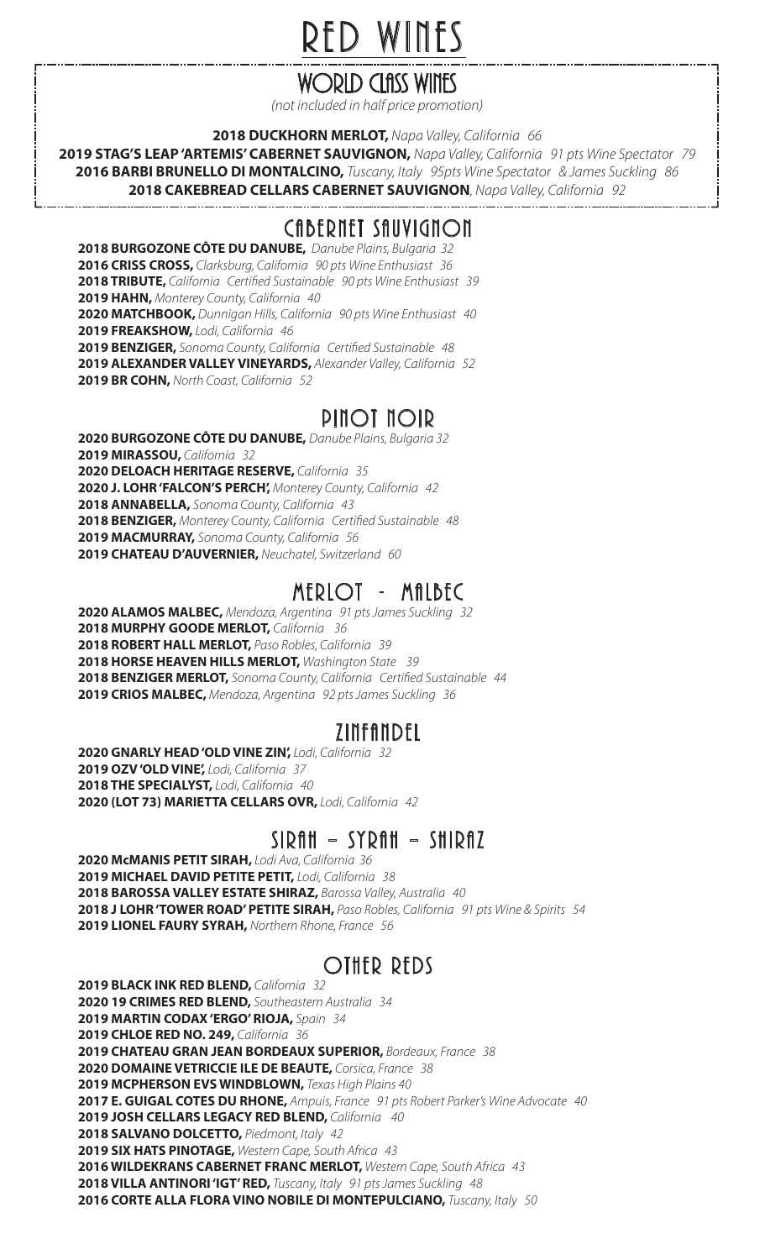## RED WINES

## WORLD CLASS WINES

*(not included in half price promotion)* 

**2018 DUCKHORN MERLOT,** *Napa Valley, California 66* 

**2019 STAG'S LEAP 'ARTEMIS' CABERNET SAUVIGNON,** *Napa Valley, California 91 pts Wine Spectator 79* **2016 BARBI BRUNELLO DI MONTALCINO,** *Tuscany, Italy 95pts Wine Spectator & James Suckling 86* **2018 CAKEBREAD CELLARS CABERNET SAUVIGNON***, Napa Valley, California 92* 

### CABERNET SAUVIGNON

**2018 BURGOZONE CÔTE DU DANUBE,** *Danube Plains, Bulgaria 32*  **2016 CRISS CROSS,** *Clarksburg, California 90 pts Wine Enthusiast 36*  **2018 TRIBUTE,** *California Certied Sustainable 90 pts Wine Enthusiast 39*  **2019 HAHN,** *Monterey County, California 40*  **2020 MATCHBOOK,** *Dunnigan Hills, California 90 pts Wine Enthusiast 40*  **2019 FREAKSHOW,** *Lodi, California 46*  **2019 BENZIGER,** *Sonoma County, California Certied Sustainable 48*  **2019 ALEXANDER VALLEY VINEYARDS,** *Alexander Valley, California 52*  **2019 BR COHN,** *North Coast, California 52* 

### PINOT NOIR

**2020 BURGOZONE CÔTE DU DANUBE,** *Danube Plains, Bulgaria 32* **2019 MIRASSOU,** *California 32*  **2020 DELOACH HERITAGE RESERVE,** *California 35*  **2020 J. LOHR 'FALCON'S PERCH',** *Monterey County, California 42*  **2018 ANNABELLA,** *Sonoma County, California 43*  2018 BENZIGER, Monterey County, California Certified Sustainable 48 **2019 MACMURRAY,** *Sonoma County, California 56*  **2019 CHATEAU D'AUVERNIER,** *Neuchatel, Switzerland 60* 

### MERLOT - MALBEC

**2020 ALAMOS MALBEC,** *Mendoza, Argentina 91 pts James Suckling 32*  **2018 MURPHY GOODE MERLOT,** *California 36*  **2018 ROBERT HALL MERLOT,** *Paso Robles, California 39*  **2018 HORSE HEAVEN HILLS MERLOT,** *Washington State 39*  **2018 BENZIGER MERLOT,** *Sonoma County, California Certied Sustainable 44*  **2019 CRIOS MALBEC,** *Mendoza, Argentina 92 pts James Suckling 36* 

### ZINFANDEL

**2020 GNARLY HEAD 'OLD VINE ZIN',** *Lodi, California 32*  **2019 OZV 'OLD VINE',** *Lodi, California 37*  **2018 THE SPECIALYST,** *Lodi, California 40*  **2020 (LOT 73) MARIETTA CELLARS OVR,** *Lodi, California 42*

#### SIRAH – SYRAH – SHIRAZ

**2020 McMANIS PETIT SIRAH,** *Lodi Ava, California 36*  **2019 MICHAEL DAVID PETITE PETIT,** *Lodi, California 38*  **2018 BAROSSA VALLEY ESTATE SHIRAZ,** *Barossa Valley, Australia 40*  **2018 J LOHR 'TOWER ROAD' PETITE SIRAH,** *Paso Robles, California 91 pts Wine & Spirits 54* **2019 LIONEL FAURY SYRAH,** *Northern Rhone, France 56* 

## OTHER REDS

**2019 BLACK INK RED BLEND,** *California 32*  **2020 19 CRIMES RED BLEND,** *Southeastern Australia 34*  **2019 MARTIN CODAX 'ERGO' RIOJA,** *Spain 34*  **2019 CHLOE RED NO. 249,** *California 36* **2019 CHATEAU GRAN JEAN BORDEAUX SUPERIOR,** *Bordeaux, France 38* **2020 DOMAINE VETRICCIE ILE DE BEAUTE,** *Corsica, France 38* **2019 MCPHERSON EVS WINDBLOWN,** *Texas High Plains 40* **2017 E. GUIGAL COTES DU RHONE,** *Ampuis, France 91 pts Robert Parker's Wine Advocate 40* **2019 JOSH CELLARS LEGACY RED BLEND,** *California 40* **2018 SALVANO DOLCETTO,** *Piedmont, Italy 42*  **2019 SIX HATS PINOTAGE,** *Western Cape, South Africa 43*  **2016 WILDEKRANS CABERNET FRANC MERLOT,** *Western Cape, South Africa 43*  **2018 VILLA ANTINORI 'IGT' RED,** *Tuscany, Italy 91 pts James Suckling 48* **2016 CORTE ALLA FLORA VINO NOBILE DI MONTEPULCIANO,** *Tuscany, Italy 50*